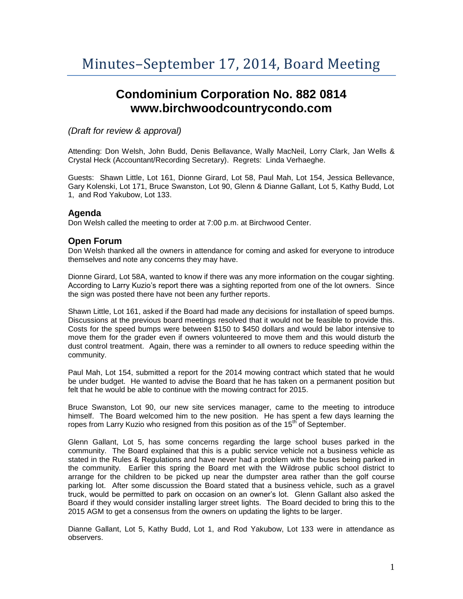# **Condominium Corporation No. 882 0814 www.birchwoodcountrycondo.com**

# *(Draft for review & approval)*

Attending: Don Welsh, John Budd, Denis Bellavance, Wally MacNeil, Lorry Clark, Jan Wells & Crystal Heck (Accountant/Recording Secretary). Regrets: Linda Verhaeghe.

Guests: Shawn Little, Lot 161, Dionne Girard, Lot 58, Paul Mah, Lot 154, Jessica Bellevance, Gary Kolenski, Lot 171, Bruce Swanston, Lot 90, Glenn & Dianne Gallant, Lot 5, Kathy Budd, Lot 1, and Rod Yakubow, Lot 133.

#### **Agenda**

Don Welsh called the meeting to order at 7:00 p.m. at Birchwood Center.

#### **Open Forum**

Don Welsh thanked all the owners in attendance for coming and asked for everyone to introduce themselves and note any concerns they may have.

Dionne Girard, Lot 58A, wanted to know if there was any more information on the cougar sighting. According to Larry Kuzio's report there was a sighting reported from one of the lot owners. Since the sign was posted there have not been any further reports.

Shawn Little, Lot 161, asked if the Board had made any decisions for installation of speed bumps. Discussions at the previous board meetings resolved that it would not be feasible to provide this. Costs for the speed bumps were between \$150 to \$450 dollars and would be labor intensive to move them for the grader even if owners volunteered to move them and this would disturb the dust control treatment. Again, there was a reminder to all owners to reduce speeding within the community.

Paul Mah, Lot 154, submitted a report for the 2014 mowing contract which stated that he would be under budget. He wanted to advise the Board that he has taken on a permanent position but felt that he would be able to continue with the mowing contract for 2015.

Bruce Swanston, Lot 90, our new site services manager, came to the meeting to introduce himself. The Board welcomed him to the new position. He has spent a few days learning the ropes from Larry Kuzio who resigned from this position as of the  $15<sup>th</sup>$  of September.

Glenn Gallant, Lot 5, has some concerns regarding the large school buses parked in the community. The Board explained that this is a public service vehicle not a business vehicle as stated in the Rules & Regulations and have never had a problem with the buses being parked in the community. Earlier this spring the Board met with the Wildrose public school district to arrange for the children to be picked up near the dumpster area rather than the golf course parking lot. After some discussion the Board stated that a business vehicle, such as a gravel truck, would be permitted to park on occasion on an owner's lot. Glenn Gallant also asked the Board if they would consider installing larger street lights. The Board decided to bring this to the 2015 AGM to get a consensus from the owners on updating the lights to be larger.

Dianne Gallant, Lot 5, Kathy Budd, Lot 1, and Rod Yakubow, Lot 133 were in attendance as observers.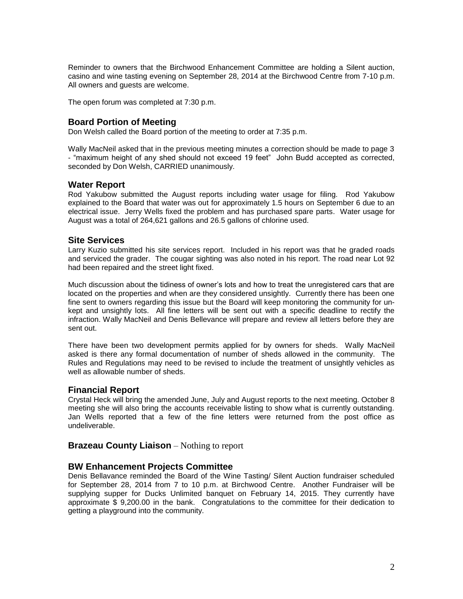Reminder to owners that the Birchwood Enhancement Committee are holding a Silent auction, casino and wine tasting evening on September 28, 2014 at the Birchwood Centre from 7-10 p.m. All owners and guests are welcome.

The open forum was completed at 7:30 p.m.

### **Board Portion of Meeting**

Don Welsh called the Board portion of the meeting to order at 7:35 p.m.

Wally MacNeil asked that in the previous meeting minutes a correction should be made to page 3 - "maximum height of any shed should not exceed 19 feet" John Budd accepted as corrected, seconded by Don Welsh, CARRIED unanimously.

#### **Water Report**

Rod Yakubow submitted the August reports including water usage for filing. Rod Yakubow explained to the Board that water was out for approximately 1.5 hours on September 6 due to an electrical issue. Jerry Wells fixed the problem and has purchased spare parts. Water usage for August was a total of 264,621 gallons and 26.5 gallons of chlorine used.

#### **Site Services**

Larry Kuzio submitted his site services report. Included in his report was that he graded roads and serviced the grader. The cougar sighting was also noted in his report. The road near Lot 92 had been repaired and the street light fixed.

Much discussion about the tidiness of owner's lots and how to treat the unregistered cars that are located on the properties and when are they considered unsightly. Currently there has been one fine sent to owners regarding this issue but the Board will keep monitoring the community for unkept and unsightly lots. All fine letters will be sent out with a specific deadline to rectify the infraction. Wally MacNeil and Denis Bellevance will prepare and review all letters before they are sent out.

There have been two development permits applied for by owners for sheds. Wally MacNeil asked is there any formal documentation of number of sheds allowed in the community. The Rules and Regulations may need to be revised to include the treatment of unsightly vehicles as well as allowable number of sheds.

#### **Financial Report**

Crystal Heck will bring the amended June, July and August reports to the next meeting. October 8 meeting she will also bring the accounts receivable listing to show what is currently outstanding. Jan Wells reported that a few of the fine letters were returned from the post office as undeliverable.

#### **Brazeau County Liaison** – Nothing to report

#### **BW Enhancement Projects Committee**

Denis Bellavance reminded the Board of the Wine Tasting/ Silent Auction fundraiser scheduled for September 28, 2014 from 7 to 10 p.m. at Birchwood Centre. Another Fundraiser will be supplying supper for Ducks Unlimited banquet on February 14, 2015. They currently have approximate \$ 9,200.00 in the bank. Congratulations to the committee for their dedication to getting a playground into the community.